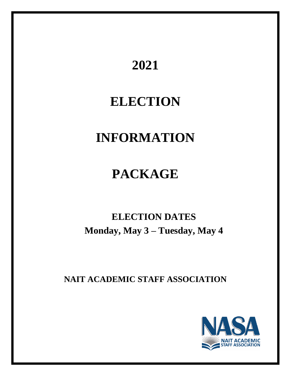# **2021**

# **ELECTION**

# **INFORMATION**

# **PACKAGE**

# **ELECTION DATES Monday, May 3 – Tuesday, May 4**

**NAIT ACADEMIC STAFF ASSOCIATION**

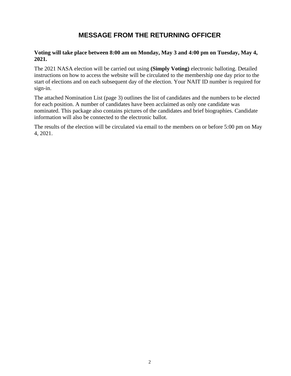# **MESSAGE FROM THE RETURNING OFFICER**

### **Voting will take place between 8:00 am on Monday, May 3 and 4:00 pm on Tuesday, May 4, 2021.**

The 2021 NASA election will be carried out using **(Simply Voting)** electronic balloting. Detailed instructions on how to access the website will be circulated to the membership one day prior to the start of elections and on each subsequent day of the election. Your NAIT ID number is required for sign-in.

The attached Nomination List (page 3) outlines the list of candidates and the numbers to be elected for each position. A number of candidates have been acclaimed as only one candidate was nominated. This package also contains pictures of the candidates and brief biographies. Candidate information will also be connected to the electronic ballot.

The results of the election will be circulated via email to the members on or before 5:00 pm on May 4, 2021.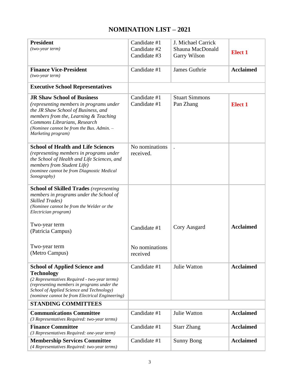# **NOMINATION LIST – 2021**

| <b>President</b>                                                   | Candidate #1   | J. Michael Carrick    |                  |
|--------------------------------------------------------------------|----------------|-----------------------|------------------|
| (two-year term)                                                    | Candidate #2   | Shauna MacDonald      |                  |
|                                                                    | Candidate #3   | Garry Wilson          | <b>Elect 1</b>   |
|                                                                    |                |                       |                  |
| <b>Finance Vice-President</b>                                      | Candidate #1   | James Guthrie         | <b>Acclaimed</b> |
| $(two-year term)$                                                  |                |                       |                  |
|                                                                    |                |                       |                  |
| <b>Executive School Representatives</b>                            |                |                       |                  |
| <b>JR Shaw School of Business</b>                                  | Candidate #1   | <b>Stuart Simmons</b> |                  |
| (representing members in programs under                            | Candidate #1   | Pan Zhang             | <b>Elect 1</b>   |
| the JR Shaw School of Business, and                                |                |                       |                  |
| members from the, Learning & Teaching                              |                |                       |                  |
| Commons Librarians, Research                                       |                |                       |                  |
| (Nominee cannot be from the Bus. Admin. -                          |                |                       |                  |
| Marketing program)                                                 |                |                       |                  |
| <b>School of Health and Life Sciences</b>                          | No nominations |                       |                  |
| (representing members in programs under                            | received.      |                       |                  |
| the School of Health and Life Sciences, and                        |                |                       |                  |
| members from Student Life)                                         |                |                       |                  |
| (nominee cannot be from Diagnostic Medical                         |                |                       |                  |
| Sonography)                                                        |                |                       |                  |
|                                                                    |                |                       |                  |
| <b>School of Skilled Trades (representing</b>                      |                |                       |                  |
| members in programs under the School of<br><b>Skilled Trades</b> ) |                |                       |                  |
| (Nominee cannot be from the Welder or the                          |                |                       |                  |
| Electrician program)                                               |                |                       |                  |
|                                                                    |                |                       |                  |
| Two-year term                                                      | Candidate #1   | Cory Aasgard          | <b>Acclaimed</b> |
| (Patricia Campus)                                                  |                |                       |                  |
|                                                                    |                |                       |                  |
| Two-year term                                                      | No nominations |                       |                  |
| (Metro Campus)                                                     | received       |                       |                  |
|                                                                    |                |                       |                  |
| <b>School of Applied Science and</b>                               | Candidate #1   | <b>Julie Watton</b>   | <b>Acclaimed</b> |
| <b>Technology</b>                                                  |                |                       |                  |
| (2 Representatives Required - two-year terms)                      |                |                       |                  |
| (representing members in programs under the                        |                |                       |                  |
| School of Applied Science and Technology)                          |                |                       |                  |
| (nominee cannot be from Electrical Engineering)                    |                |                       |                  |
| <b>STANDING COMMITTEES</b>                                         |                |                       |                  |
| <b>Communications Committee</b>                                    | Candidate #1   | Julie Watton          | <b>Acclaimed</b> |
| (3 Representatives Required: two-year terms)                       |                |                       |                  |
| <b>Finance Committee</b>                                           | Candidate #1   | <b>Starr Zhang</b>    | <b>Acclaimed</b> |
| (3 Representatives Required: one-year term)                        |                |                       |                  |
| <b>Membership Services Committee</b>                               | Candidate #1   | <b>Sunny Bong</b>     | <b>Acclaimed</b> |
| (4 Representatives Required: two-year terms)                       |                |                       |                  |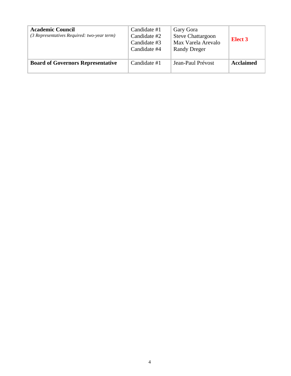| <b>Academic Council</b><br>(3 Representatives Required: two-year term) | Candidate #1<br>Candidate #2<br>Candidate #3<br>Candidate #4 | Gary Gora<br><b>Steve Chattargoon</b><br>Max Varela Arevalo<br><b>Randy Dreger</b> | Elect 3          |
|------------------------------------------------------------------------|--------------------------------------------------------------|------------------------------------------------------------------------------------|------------------|
| <b>Board of Governors Representative</b>                               | Candidate #1                                                 | Jean-Paul Prévost                                                                  | <b>Acclaimed</b> |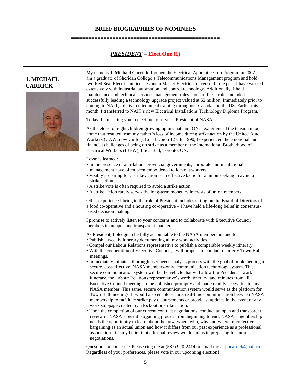# **BRIEF BIOGRAPHIES OF NOMINEES ==================================================**

*PRESIDENT* **– Elect One (1)**

### **J. MICHAEL CARRICK**



My name is **J. Michael Carrick**. I joined the Electrical Apprenticeship Program in 2007. I am a graduate of Sheridan College's Telecommunications Management program and hold two Red Seal Electrician licenses and a Master Electrician license. In the past, I have worked extensively with industrial automation and control technology. Additionally, I held maintenance and technical services management roles – one of these roles included successfully leading a technology upgrade project valued at \$2 million. Immediately prior to coming to NAIT, I delivered technical training throughout Canada and the US. Earlier this month, I transferred to NAIT's new Electrical Installations Technology Diploma Program.

Today, I am asking you to elect me to serve as President of NASA.

As the eldest of eight children growing up in Chatham, ON, I experienced the tension in our home that resulted from my father's loss of income during strike action by the United Auto Workers (UAW, now Unifor), Local Union 127. In 1990, I experienced the emotional and financial challenges of being on strike as a member of the International Brotherhood of Electrical Workers (IBEW), Local 353, Toronto, ON.

Lessons learned:

- In the presence of anti-labour provincial governments, corporate and institutional management have often been emboldened to lockout workers.
- Visibly preparing for a strike action is an effective tactic for a union seeking to avoid a strike action.
- A strike vote is often required to avoid a strike action.
- A strike action rarely serves the long-term monetary interests of union members.

Other experience I bring to the role of President includes sitting on the Board of Directors of a food co-operative and a housing co-operative – I have held a life-long belief in consensusbased decision making.

I promise to actively listen to your concerns and to collaborate with Executive Council members in an open and transparent manner.

As President, I pledge to be fully accountable to the NASA membership and to:

- Publish a weekly itinerary documenting all my work activities.
- Compel our Labour Relations representative to publish a comparable weekly itinerary.
- With the cooperation of Executive Council, I will propose to conduct quarterly Town Hall meetings.
- Immediately initiate a thorough user needs analysis process with the goal of implementing a secure, cost-effective, NASA members-only, communication technology system. This secure communication system will be the vehicle that will allow the President's work itinerary, the Labour Relations representative's work itinerary, and minutes from all Executive Council meetings to be published promptly and made readily accessible to any NASA member. This same, secure communication system would serve as the platform for Town Hall meetings. It would also enable secure, real-time communication between NASA membership to facilitate strike pay disbursements or broadcast updates in the event of any work stoppage created by a lockout or strike action.
- Upon the completion of our current contract negotiations, conduct an open and transparent review of NASA's recent bargaining process from beginning to end. NASA's membership needs the opportunity to learn about the how, when, who, why and where of collective bargaining as an actual union and how it differs from our past experience as a professional association. It is my belief that a formal review would aid us in preparing for future negotiations.

Questions or concerns? Please ring me at (587) 920-2414 or email me at jmcarrick@nait.ca. Regardless of your preferences, please vote in our upcoming election!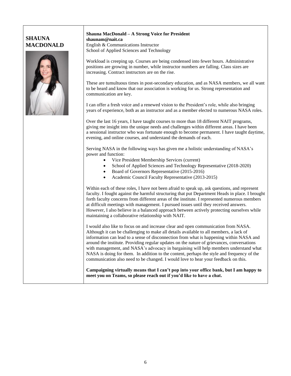## **SHAUNA MACDONALD**



#### **Shauna MacDonald – A Strong Voice for President shaunam@nait.ca** English & Communications Instructor School of Applied Sciences and Technology

Workload is creeping up. Courses are being condensed into fewer hours. Administrative positions are growing in number, while instructor numbers are falling. Class sizes are increasing. Contract instructors are on the rise.

These are tumultuous times in post-secondary education, and as NASA members, we all want to be heard and know that our association is working for us. Strong representation and communication are key.

I can offer a fresh voice and a renewed vision to the President's role, while also bringing years of experience, both as an instructor and as a member elected to numerous NASA roles.

Over the last 16 years, I have taught courses to more than 18 different NAIT programs, giving me insight into the unique needs and challenges within different areas. I have been a sessional instructor who was fortunate enough to become permanent. I have taught daytime, evening, and online courses, and understand the demands of each.

Serving NASA in the following ways has given me a holistic understanding of NASA's power and function:

- Vice President Membership Services (current)
- School of Applied Sciences and Technology Representative (2018-2020)
- Board of Governors Representative (2015-2016)
- Academic Council Faculty Representative (2013-2015)

Within each of these roles, I have not been afraid to speak up, ask questions, and represent faculty. I fought against the harmful structuring that put Department Heads in place. I brought forth faculty concerns from different areas of the institute. I represented numerous members at difficult meetings with management. I pursued issues until they received answers. However, I also believe in a balanced approach between actively protecting ourselves while maintaining a collaborative relationship with NAIT.

I would also like to focus on and increase clear and open communication from NASA. Although it can be challenging to make all details available to all members, a lack of information can lead to a sense of disconnection from what is happening within NASA and around the institute. Providing regular updates on the nature of grievances, conversations with management, and NASA's advocacy in bargaining will help members understand what NASA is doing for them. In addition to the content, perhaps the style and frequency of the communication also need to be changed. I would love to hear your feedback on this.

**Campaigning virtually means that I can't pop into your office bank, but I am happy to meet you on Teams, so please reach out if you'd like to have a chat.**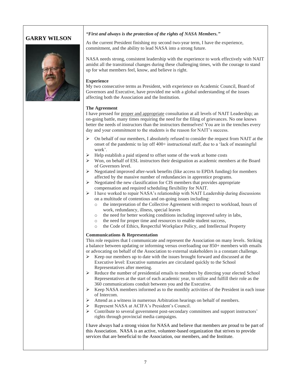# **GARRY WILSON**



#### *"First and always is the protection of the rights of NASA Members."*

As the current President finishing my second two-year term, I have the experience, commitment, and the ability to lead NASA into a strong future.

NASA needs strong, consistent leadership with the experience to work effectively with NAIT amidst all the transitional changes during these challenging times, with the courage to stand up for what members feel, know, and believe is right.

#### **Experience**

My two consecutive terms as President, with experience on Academic Council, Board of Governors and Executive, have provided me with a global understanding of the issues affecting both the Association and the Institution.

#### **The Agreement**

I have pressed for proper and appropriate consultation at all levels of NAIT Leadership; an on-going battle, many times requiring the need for the filing of grievances. No one knows better the needs of instructors than the instructors themselves! You are in the trenches every day and your commitment to the students is the reason for NAIT's success.

- ➢ On behalf of our members, I absolutely refused to consider the request from NAIT at the onset of the pandemic to lay off 400+ instructional staff, due to a 'lack of meaningful work'.
- ➢ Help establish a paid stipend to offset some of the work at home costs
- $\triangleright$  Won, on behalf of ESL instructors their designation as academic members at the Board of Governors level.
- ➢ Negotiated improved after-work benefits (like access to EPDA funding) for members affected by the massive number of redundancies in apprentice programs.
- ➢ Negotiated the new classification for CIS members that provides appropriate compensation and required scheduling flexibility for NAIT.
- ➢ I have worked to repair NASA's relationship with NAIT Leadership during discussions on a multitude of contentious and on-going issues including:
	- o the interpretation of the Collective Agreement with respect to workload, hours of work, redundancy, illness, special leaves
	- o the need for better working conditions including improved safety in labs,
	- o the need for proper time and resources to enable student success,
	- o the Code of Ethics, Respectful Workplace Policy, and Intellectual Property

#### **Communications & Representation**

This role requires that I communicate and represent the Association on many levels. Striking a balance between updating or informing versus overloading our 850+ members with emails or advocating on behalf of the Association to external stakeholders is a constant challenge*.*

- $\triangleright$  Keep our members up to date with the issues brought forward and discussed at the Executive level: Executive summaries are circulated quickly to the School Representatives after meeting.
- ➢ Reduce the number of presidential emails to members by directing your elected School Representatives at the start of each academic year, to utilize and fulfill their role as the 360 communications conduit between you and the Executive.
- ➢ Keep NASA members informed as to the monthly activities of the President in each issue of Intercom.
- ➢ Attend as a witness in numerous Arbitration hearings on behalf of members.
- ➢ Represent NASA at ACIFA's President's Council.
- ➢ Contribute to several government post-secondary committees and support instructors' rights through provincial media campaigns*.*

I have always had a strong vision for NASA and believe that members are proud to be part of this Association. NASA is an active, volunteer-based organization that strives to provide services that are beneficial to the Association, our members, and the Institute.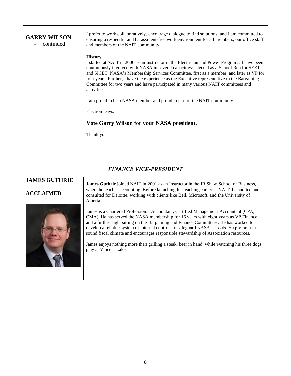| <b>GARRY WILSON</b><br>continued | I prefer to work collaboratively, encourage dialogue to find solutions, and I am committed to<br>ensuring a respectful and harassment-free work environment for all members, our office staff<br>and members of the NAIT community.                                                                                                                                                                                                                                                                       |
|----------------------------------|-----------------------------------------------------------------------------------------------------------------------------------------------------------------------------------------------------------------------------------------------------------------------------------------------------------------------------------------------------------------------------------------------------------------------------------------------------------------------------------------------------------|
|                                  | <b>History</b><br>I started at NAIT in 2006 as an instructor in the Electrician and Power Programs. I have been<br>continuously involved with NASA in several capacities: elected as a School Rep for SEET<br>and SICET, NASA's Membership Services Committee, first as a member, and later as VP for<br>four years. Further, I have the experience as the Executive representative to the Bargaining<br>Committee for two years and have participated in many various NAIT committees and<br>activities. |
|                                  | I am proud to be a NASA member and proud to part of the NAIT community.                                                                                                                                                                                                                                                                                                                                                                                                                                   |
|                                  | <b>Election Days:</b>                                                                                                                                                                                                                                                                                                                                                                                                                                                                                     |
|                                  | Vote Garry Wilson for your NASA president.                                                                                                                                                                                                                                                                                                                                                                                                                                                                |
|                                  | Thank you                                                                                                                                                                                                                                                                                                                                                                                                                                                                                                 |

**F** 

| <b>FINANCE VICE-PRESIDENT</b>            |                                                                                                                                                                                                                                                                                                                                                                                                                                                                                                                                                                                    |  |
|------------------------------------------|------------------------------------------------------------------------------------------------------------------------------------------------------------------------------------------------------------------------------------------------------------------------------------------------------------------------------------------------------------------------------------------------------------------------------------------------------------------------------------------------------------------------------------------------------------------------------------|--|
| <b>JAMES GUTHRIE</b><br><b>ACCLAIMED</b> | <b>James Guthrie</b> joined NAIT in 2001 as an Instructor in the JR Shaw School of Business,<br>where he teaches accounting. Before launching his teaching career at NAIT, he audited and<br>consulted for Deloitte, working with clients like Bell, Microsoft, and the University of<br>Alberta.                                                                                                                                                                                                                                                                                  |  |
|                                          | James is a Chartered Professional Accountant, Certified Management Accountant (CPA,<br>CMA). He has served the NASA membership for 16 years with eight years as VP Finance<br>and a further eight sitting on the Bargaining and Finance Committees. He has worked to<br>develop a reliable system of internal controls to safeguard NASA's assets. He promotes a<br>sound fiscal climate and encourages responsible stewardship of Association resources.<br>James enjoys nothing more than grilling a steak, beer in hand, while watching his three dogs<br>play at Vincent Lake. |  |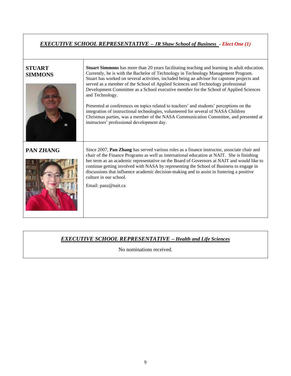# *EXECUTIVE SCHOOL REPRESENTATIVE – JR Shaw School of Business - Elect One (1)*

| <b>STUART</b><br><b>SIMMONS</b> | <b>Stuart Simmons</b> has more than 20 years facilitating teaching and learning in adult education.<br>Currently, he is with the Bachelor of Technology in Technology Management Program.<br>Stuart has worked on several activities, included being an advisor for capstone projects and<br>served as a member of the School of Applied Sciences and Technology professional<br>Development Committee as a School executive member for the School of Applied Sciences<br>and Technology.<br>Presented at conferences on topics related to teachers' and students' perceptions on the<br>integration of instructional technologies, volunteered for several of NASA Children<br>Christmas parties, was a member of the NASA Communication Committee, and presented at<br>instructors' professional development day. |
|---------------------------------|---------------------------------------------------------------------------------------------------------------------------------------------------------------------------------------------------------------------------------------------------------------------------------------------------------------------------------------------------------------------------------------------------------------------------------------------------------------------------------------------------------------------------------------------------------------------------------------------------------------------------------------------------------------------------------------------------------------------------------------------------------------------------------------------------------------------|
| <b>PAN ZHANG</b>                | Since 2007, Pan Zhang has served various roles as a finance instructor, associate chair and<br>chair of the Finance Programs as well as international education at NAIT. She is finishing<br>her term as an academic representative on the Board of Governors at NAIT and would like to<br>continue getting involved with NASA by representing the School of Business to engage in<br>discussions that influence academic decision-making and to assist in fostering a positive<br>culture in our school.<br>Email: panz@nait.ca                                                                                                                                                                                                                                                                                    |

## *EXECUTIVE SCHOOL REPRESENTATIVE – Health and Life Sciences*

No nominations received.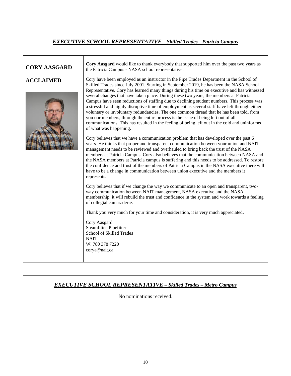# *EXECUTIVE SCHOOL REPRESENTATIVE – Skilled Trades - Patricia Campus*

## **CORY AASGARD**

**ACCLAIMED**



**Cory Aasgard** would like to thank everybody that supported him over the past two years as the Patricia Campus - NASA school representative.

Cory have been employed as an instructor in the Pipe Trades Department in the School of Skilled Trades since July 2001. Starting in September 2019, he has been the NASA School Representative. Cory has learned many things during his time on executive and has witnessed several changes that have taken place. During these two years, the members at Patricia Campus have seen reductions of staffing due to declining student numbers. This process was a stressful and highly disruptive time of employment as several staff have left through either voluntary or involuntary redundancies. The one common thread that he has been told, from you our members, through the entire process is the issue of being left out of all communications. This has resulted in the feeling of being left out in the cold and uninformed of what was happening.

Cory believes that we have a communication problem that has developed over the past 6 years. He thinks that proper and transparent communication between your union and NAIT management needs to be reviewed and overhauled to bring back the trust of the NASA members at Patricia Campus. Cory also believes that the communication between NASA and the NASA members at Patricia campus is suffering and this needs to be addressed. To restore the confidence and trust of the members of Patricia Campus in the NASA executive there will have to be a change in communication between union executive and the members it represents.

Cory believes that if we change the way we communicate to an open and transparent, twoway communication between NAIT management, NASA executive and the NASA membership, it will rebuild the trust and confidence in the system and work towards a feeling of collegial camaraderie.

Thank you very much for your time and consideration, it is very much appreciated.

Cory Aasgard Steamfitter-Pipefitter School of Skilled Trades **NAIT** W. 780 378 7220 corya@nait.ca

## *EXECUTIVE SCHOOL REPRESENTATIVE – Skilled Trades – Metro Campus*

No nominations received.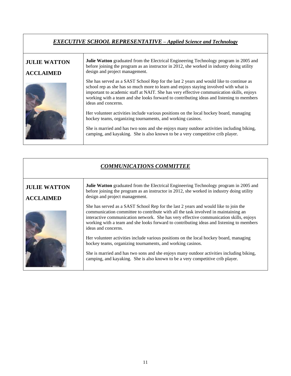## *EXECUTIVE SCHOOL REPRESENTATIVE – Applied Science and Technology*

### **JULIE WATTON ACCLAIMED Julie Watton** graduated from the Electrical Engineering Technology program in 2005 and before joining the program as an instructor in 2012, she worked in industry doing utility design and project management. She has served as a SAST School Rep for the last 2 years and would like to continue as school rep as she has so much more to learn and enjoys staying involved with what is important to academic staff at NAIT. She has very effective communication skills, enjoys working with a team and she looks forward to contributing ideas and listening to members ideas and concerns. Her volunteer activities include various positions on the local hockey board, managing hockey teams, organizing tournaments, and working casinos. She is married and has two sons and she enjoys many outdoor activities including biking, camping, and kayaking. She is also known to be a very competitive crib player.

| <b>COMMUNICATIONS COMMITTEE</b>         |                                                                                                                                                                                                                                                                                                                                                                                        |  |
|-----------------------------------------|----------------------------------------------------------------------------------------------------------------------------------------------------------------------------------------------------------------------------------------------------------------------------------------------------------------------------------------------------------------------------------------|--|
| <b>JULIE WATTON</b><br><b>ACCLAIMED</b> | <b>Julie Watton</b> graduated from the Electrical Engineering Technology program in 2005 and<br>before joining the program as an instructor in 2012, she worked in industry doing utility<br>design and project management.                                                                                                                                                            |  |
|                                         | She has served as a SAST School Rep for the last 2 years and would like to join the<br>communication committee to contribute with all the task involved in maintaining an<br>interactive communication network. She has very effective communication skills, enjoys<br>working with a team and she looks forward to contributing ideas and listening to members<br>ideas and concerns. |  |
|                                         | Her volunteer activities include various positions on the local hockey board, managing<br>hockey teams, organizing tournaments, and working casinos.                                                                                                                                                                                                                                   |  |
|                                         | She is married and has two sons and she enjoys many outdoor activities including biking,<br>camping, and kayaking. She is also known to be a very competitive crib player.                                                                                                                                                                                                             |  |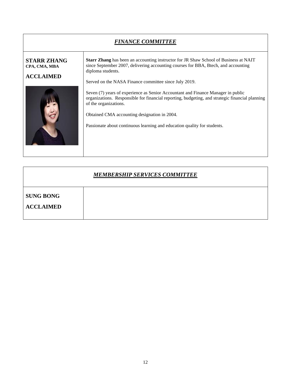| <b>FINANCE COMMITTEE</b>                                |                                                                                                                                                                                                                                                                                                                                                                                                                                                                                                                                                                                                             |  |
|---------------------------------------------------------|-------------------------------------------------------------------------------------------------------------------------------------------------------------------------------------------------------------------------------------------------------------------------------------------------------------------------------------------------------------------------------------------------------------------------------------------------------------------------------------------------------------------------------------------------------------------------------------------------------------|--|
| <b>STARR ZHANG</b><br>CPA, CMA, MBA<br><b>ACCLAIMED</b> | <b>Starr Zhang</b> has been an accounting instructor for JR Shaw School of Business at NAIT<br>since September 2007, delivering accounting courses for BBA, Btech, and accounting<br>diploma students.<br>Served on the NASA Finance committee since July 2019.<br>Seven (7) years of experience as Senior Accountant and Finance Manager in public<br>organizations. Responsible for financial reporting, budgeting, and strategic financial planning<br>of the organizations.<br>Obtained CMA accounting designation in 2004.<br>Passionate about continuous learning and education quality for students. |  |

| <b>MEMBERSHIP SERVICES COMMITTEE</b> |  |  |
|--------------------------------------|--|--|
| <b>SUNG BONG</b><br><b>ACCLAIMED</b> |  |  |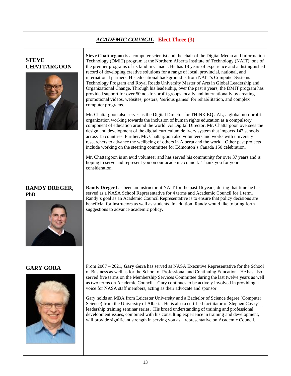# *ACADEMIC COUNCIL***– Elect Three (3)**

| <b>STEVE</b><br><b>CHATTARGOON</b> | Steve Chattargoon is a computer scientist and the chair of the Digital Media and Information<br>Technology (DMIT) program at the Northern Alberta Institute of Technology (NAIT), one of<br>the premier programs of its kind in Canada. He has 18 years of experience and a distinguished<br>record of developing creative solutions for a range of local, provincial, national, and<br>international partners. His educational background is from NAIT's Computer Systems<br>Technology Program and Royal Roads University Master of Arts in Global Leadership and<br>Organizational Change. Through his leadership, over the past 9 years, the DMIT program has<br>provided support for over 50 not-for-profit groups locally and internationally by creating<br>promotional videos, websites, posters, 'serious games' for rehabilitation, and complex<br>computer programs.<br>Mr. Chattargoon also serves as the Digital Director for THINK EQUAL, a global non-profit<br>organization working towards the inclusion of human rights education as a compulsory<br>component of education around the world. As Digital Director, Mr. Chattargoon oversees the<br>design and development of the digital curriculum delivery system that impacts 147 schools<br>across 15 countries. Further, Mr. Chattargoon also volunteers and works with university<br>researchers to advance the wellbeing of others in Alberta and the world. Other past projects<br>include working on the steering committee for Edmonton's Canada 150 celebration.<br>Mr. Chattargoon is an avid volunteer and has served his community for over 37 years and is<br>hoping to serve and represent you on our academic council. Thank you for your<br>consideration. |
|------------------------------------|------------------------------------------------------------------------------------------------------------------------------------------------------------------------------------------------------------------------------------------------------------------------------------------------------------------------------------------------------------------------------------------------------------------------------------------------------------------------------------------------------------------------------------------------------------------------------------------------------------------------------------------------------------------------------------------------------------------------------------------------------------------------------------------------------------------------------------------------------------------------------------------------------------------------------------------------------------------------------------------------------------------------------------------------------------------------------------------------------------------------------------------------------------------------------------------------------------------------------------------------------------------------------------------------------------------------------------------------------------------------------------------------------------------------------------------------------------------------------------------------------------------------------------------------------------------------------------------------------------------------------------------------------------------------------------------------------------------------------------------------|
| <b>RANDY DREGER,</b><br>PhD        | <b>Randy Dreger</b> has been an instructor at NAIT for the past 16 years, during that time he has<br>served as a NASA School Representative for 4 terms and Academic Council for 1 term.<br>Randy's goal as an Academic Council Representative is to ensure that policy decisions are<br>beneficial for instructors as well as students. In addition, Randy would like to bring forth<br>suggestions to advance academic policy.                                                                                                                                                                                                                                                                                                                                                                                                                                                                                                                                                                                                                                                                                                                                                                                                                                                                                                                                                                                                                                                                                                                                                                                                                                                                                                               |
| <b>GARY GORA</b>                   | From $2007 - 2021$ , Gary Gora has served as NASA Executive Representative for the School<br>of Business as well as for the School of Professional and Continuing Education. He has also<br>served five terms on the Membership Services Committee during the last twelve years as well<br>as two terms on Academic Council. Gary continues to be actively involved in providing a<br>voice for NASA staff members, acting as their advocate and sponsor.<br>Gary holds an MBA from Leicester University and a Bachelor of Science degree (Computer<br>Science) from the University of Alberta. He is also a certified facilitator of Stephen Covey's<br>leadership training seminar series. His broad understanding of training and professional<br>development issues, combined with his consulting experience in training and development,<br>will provide significant strength in serving you as a representative on Academic Council.                                                                                                                                                                                                                                                                                                                                                                                                                                                                                                                                                                                                                                                                                                                                                                                                     |